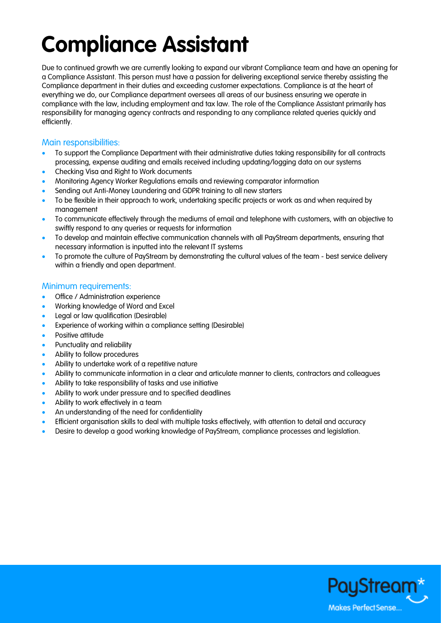## **Compliance Assistant**

Due to continued growth we are currently looking to expand our vibrant Compliance team and have an opening for a Compliance Assistant. This person must have a passion for delivering exceptional service thereby assisting the Compliance department in their duties and exceeding customer expectations. Compliance is at the heart of everything we do, our Compliance department oversees all areas of our business ensuring we operate in compliance with the law, including employment and tax law. The role of the Compliance Assistant primarily has responsibility for managing agency contracts and responding to any compliance related queries quickly and efficiently.

## Main responsibilities:

- To support the Compliance Department with their administrative duties taking responsibility for all contracts processing, expense auditing and emails received including updating/logging data on our systems
- Checking Visa and Right to Work documents
- Monitoring Agency Worker Regulations emails and reviewing comparator information
- Sending out Anti-Money Laundering and GDPR training to all new starters
- To be flexible in their approach to work, undertaking specific projects or work as and when required by management
- To communicate effectively through the mediums of email and telephone with customers, with an objective to swiftly respond to any queries or requests for information
- To develop and maintain effective communication channels with all PayStream departments, ensuring that necessary information is inputted into the relevant IT systems
- To promote the culture of PayStream by demonstrating the cultural values of the team best service delivery within a friendly and open department.

## Minimum requirements:

- Office / Administration experience
- Working knowledge of Word and Excel
- Legal or law qualification (Desirable)
- Experience of working within a compliance setting (Desirable)
- Positive attitude
- Punctuality and reliability
- Ability to follow procedures
- Ability to undertake work of a repetitive nature
- Ability to communicate information in a clear and articulate manner to clients, contractors and colleagues
- Ability to take responsibility of tasks and use initiative
- Ability to work under pressure and to specified deadlines
- Ability to work effectively in a team
- An understanding of the need for confidentiality
- Efficient organisation skills to deal with multiple tasks effectively, with attention to detail and accuracy
- Desire to develop a good working knowledge of PayStream, compliance processes and legislation.